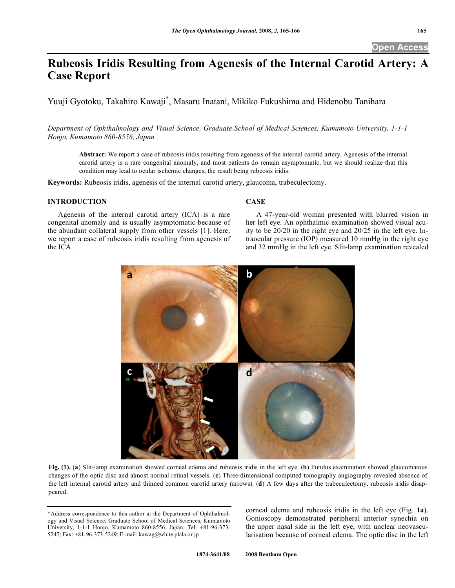# **Rubeosis Iridis Resulting from Agenesis of the Internal Carotid Artery: A Case Report**

Yuuji Gyotoku, Takahiro Kawaji\* , Masaru Inatani, Mikiko Fukushima and Hidenobu Tanihara

*Department of Ophthalmology and Visual Science, Graduate School of Medical Sciences, Kumamoto University, 1-1-1 Honjo, Kumamoto 860-8556, Japan* 

**Abstract:** We report a case of rubeosis iridis resulting from agenesis of the internal carotid artery. Agenesis of the internal carotid artery is a rare congenital anomaly, and most patients do remain asymptomatic, but we should realize that this condition may lead to ocular ischemic changes, the result being rubeosis iridis.

**Keywords:** Rubeosis iridis, agenesis of the internal carotid artery, glaucoma, trabeculectomy.

## **INTRODUCTION**

 Agenesis of the internal carotid artery (ICA) is a rare congenital anomaly and is usually asymptomatic because of the abundant collateral supply from other vessels [1]. Here, we report a case of rubeosis iridis resulting from agenesis of the ICA.

## **CASE**

 A 47-year-old woman presented with blurred vision in her left eye. An ophthalmic examination showed visual acuity to be 20/20 in the right eye and 20/25 in the left eye. Intraocular pressure (IOP) measured 10 mmHg in the right eye and 32 mmHg in the left eye. Slit-lamp examination revealed



Fig. (1). (a) Slit-lamp examination showed corneal edema and rubeosis iridis in the left eye. (b) Fundus examination showed glaucomatous changes of the optic disc and almost normal retinal vessels. (**c**) Three-dimensional computed tomography angiography revealed absence of the left internal carotid artery and thinned common carotid artery (arrows). (**d**) A few days after the trabeculectomy, rubeosis iridis disappeared.

corneal edema and rubeosis iridis in the left eye (Fig. **1a**). Gonioscopy demonstrated peripheral anterior synechia on the upper nasal side in the left eye, with unclear neovascularisation because of corneal edema. The optic disc in the left

<sup>\*</sup>Address correspondence to this author at the Department of Ophthalmology and Visual Science, Graduate School of Medical Sciences, Kumamoto University, 1-1-1 Honjo, Kumamoto 860-8556, Japan; Tel: +81-96-373- 5247; Fax: +81-96-373-5249; E-mail: kawag@white.plala.or.jp